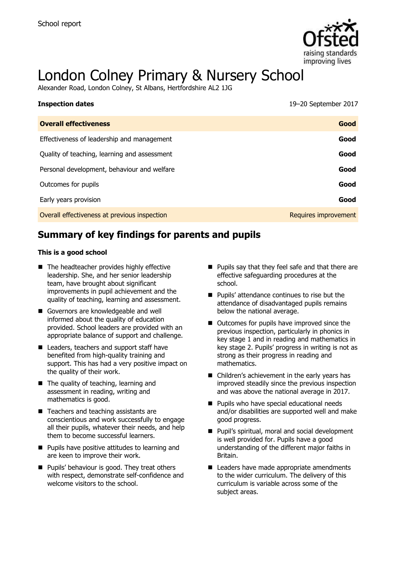

# London Colney Primary & Nursery School

Alexander Road, London Colney, St Albans, Hertfordshire AL2 1JG

| <b>Inspection dates</b>                      | 19-20 September 2017 |
|----------------------------------------------|----------------------|
| <b>Overall effectiveness</b>                 | Good                 |
| Effectiveness of leadership and management   | Good                 |
| Quality of teaching, learning and assessment | Good                 |
| Personal development, behaviour and welfare  | Good                 |
| Outcomes for pupils                          | Good                 |
| Early years provision                        | Good                 |
| Overall effectiveness at previous inspection | Requires improvement |

# **Summary of key findings for parents and pupils**

#### **This is a good school**

- The headteacher provides highly effective leadership. She, and her senior leadership team, have brought about significant improvements in pupil achievement and the quality of teaching, learning and assessment.
- Governors are knowledgeable and well informed about the quality of education provided. School leaders are provided with an appropriate balance of support and challenge.
- Leaders, teachers and support staff have benefited from high-quality training and support. This has had a very positive impact on the quality of their work.
- The quality of teaching, learning and assessment in reading, writing and mathematics is good.
- Teachers and teaching assistants are conscientious and work successfully to engage all their pupils, whatever their needs, and help them to become successful learners.
- **Pupils have positive attitudes to learning and** are keen to improve their work.
- **Pupils' behaviour is good. They treat others** with respect, demonstrate self-confidence and welcome visitors to the school
- **Pupils say that they feel safe and that there are** effective safeguarding procedures at the school.
- **Pupils' attendance continues to rise but the** attendance of disadvantaged pupils remains below the national average.
- Outcomes for pupils have improved since the previous inspection, particularly in phonics in key stage 1 and in reading and mathematics in key stage 2. Pupils' progress in writing is not as strong as their progress in reading and mathematics.
- Children's achievement in the early years has improved steadily since the previous inspection and was above the national average in 2017.
- **Pupils who have special educational needs** and/or disabilities are supported well and make good progress.
- **Pupil's spiritual, moral and social development** is well provided for. Pupils have a good understanding of the different major faiths in Britain.
- Leaders have made appropriate amendments to the wider curriculum. The delivery of this curriculum is variable across some of the subject areas.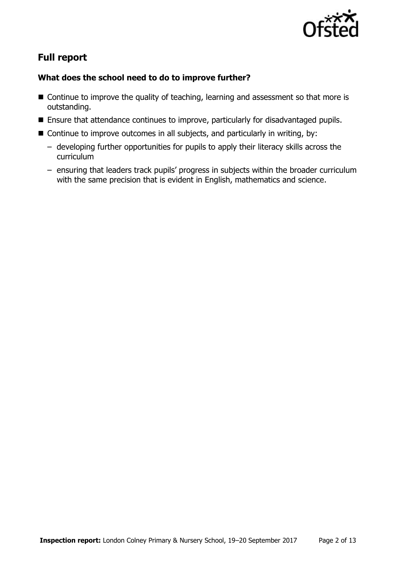

# **Full report**

### **What does the school need to do to improve further?**

- Continue to improve the quality of teaching, learning and assessment so that more is outstanding.
- **Ensure that attendance continues to improve, particularly for disadvantaged pupils.**
- Continue to improve outcomes in all subjects, and particularly in writing, by:
	- developing further opportunities for pupils to apply their literacy skills across the curriculum
	- ensuring that leaders track pupils' progress in subjects within the broader curriculum with the same precision that is evident in English, mathematics and science.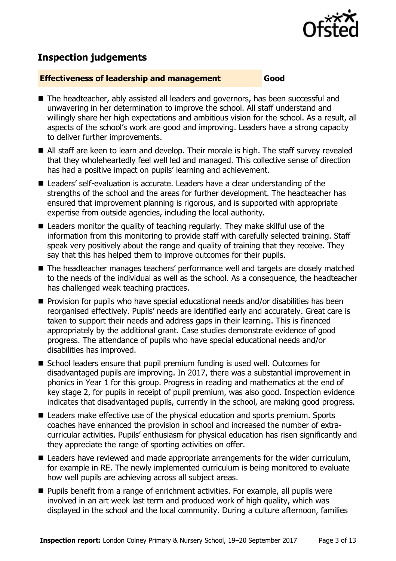

# **Inspection judgements**

#### **Effectiveness of leadership and management Good**

- The headteacher, ably assisted all leaders and governors, has been successful and unwavering in her determination to improve the school. All staff understand and willingly share her high expectations and ambitious vision for the school. As a result, all aspects of the school's work are good and improving. Leaders have a strong capacity to deliver further improvements.
- All staff are keen to learn and develop. Their morale is high. The staff survey revealed that they wholeheartedly feel well led and managed. This collective sense of direction has had a positive impact on pupils' learning and achievement.
- Leaders' self-evaluation is accurate. Leaders have a clear understanding of the strengths of the school and the areas for further development. The headteacher has ensured that improvement planning is rigorous, and is supported with appropriate expertise from outside agencies, including the local authority.
- Leaders monitor the quality of teaching regularly. They make skilful use of the information from this monitoring to provide staff with carefully selected training. Staff speak very positively about the range and quality of training that they receive. They say that this has helped them to improve outcomes for their pupils.
- The headteacher manages teachers' performance well and targets are closely matched to the needs of the individual as well as the school. As a consequence, the headteacher has challenged weak teaching practices.
- $\blacksquare$  Provision for pupils who have special educational needs and/or disabilities has been reorganised effectively. Pupils' needs are identified early and accurately. Great care is taken to support their needs and address gaps in their learning. This is financed appropriately by the additional grant. Case studies demonstrate evidence of good progress. The attendance of pupils who have special educational needs and/or disabilities has improved.
- School leaders ensure that pupil premium funding is used well. Outcomes for disadvantaged pupils are improving. In 2017, there was a substantial improvement in phonics in Year 1 for this group. Progress in reading and mathematics at the end of key stage 2, for pupils in receipt of pupil premium, was also good. Inspection evidence indicates that disadvantaged pupils, currently in the school, are making good progress.
- Leaders make effective use of the physical education and sports premium. Sports coaches have enhanced the provision in school and increased the number of extracurricular activities. Pupils' enthusiasm for physical education has risen significantly and they appreciate the range of sporting activities on offer.
- $\blacksquare$  Leaders have reviewed and made appropriate arrangements for the wider curriculum, for example in RE. The newly implemented curriculum is being monitored to evaluate how well pupils are achieving across all subject areas.
- **Pupils benefit from a range of enrichment activities. For example, all pupils were** involved in an art week last term and produced work of high quality, which was displayed in the school and the local community. During a culture afternoon, families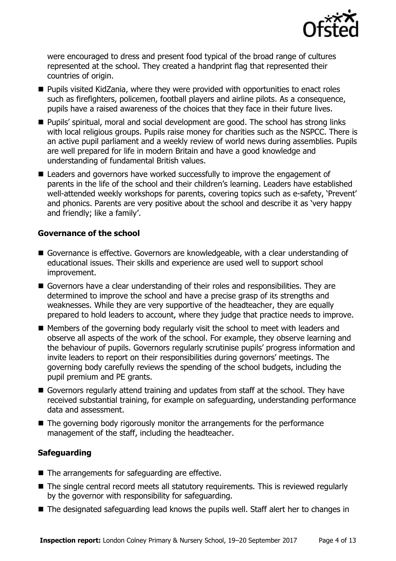

were encouraged to dress and present food typical of the broad range of cultures represented at the school. They created a handprint flag that represented their countries of origin.

- Pupils visited KidZania, where they were provided with opportunities to enact roles such as firefighters, policemen, football players and airline pilots. As a consequence, pupils have a raised awareness of the choices that they face in their future lives.
- Pupils' spiritual, moral and social development are good. The school has strong links with local religious groups. Pupils raise money for charities such as the NSPCC. There is an active pupil parliament and a weekly review of world news during assemblies. Pupils are well prepared for life in modern Britain and have a good knowledge and understanding of fundamental British values.
- Leaders and governors have worked successfully to improve the engagement of parents in the life of the school and their children's learning. Leaders have established well-attended weekly workshops for parents, covering topics such as e-safety, 'Prevent' and phonics. Parents are very positive about the school and describe it as 'very happy and friendly; like a family'.

#### **Governance of the school**

- Governance is effective. Governors are knowledgeable, with a clear understanding of educational issues. Their skills and experience are used well to support school improvement.
- Governors have a clear understanding of their roles and responsibilities. They are determined to improve the school and have a precise grasp of its strengths and weaknesses. While they are very supportive of the headteacher, they are equally prepared to hold leaders to account, where they judge that practice needs to improve.
- Members of the governing body regularly visit the school to meet with leaders and observe all aspects of the work of the school. For example, they observe learning and the behaviour of pupils. Governors regularly scrutinise pupils' progress information and invite leaders to report on their responsibilities during governors' meetings. The governing body carefully reviews the spending of the school budgets, including the pupil premium and PE grants.
- Governors regularly attend training and updates from staff at the school. They have received substantial training, for example on safeguarding, understanding performance data and assessment.
- The governing body rigorously monitor the arrangements for the performance management of the staff, including the headteacher.

#### **Safeguarding**

- $\blacksquare$  The arrangements for safeguarding are effective.
- The single central record meets all statutory requirements. This is reviewed regularly by the governor with responsibility for safeguarding.
- The designated safeguarding lead knows the pupils well. Staff alert her to changes in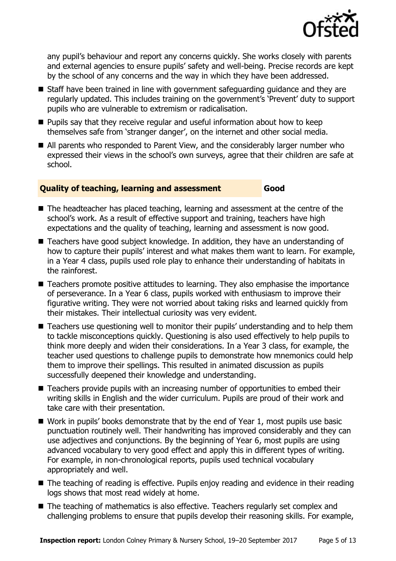

any pupil's behaviour and report any concerns quickly. She works closely with parents and external agencies to ensure pupils' safety and well-being. Precise records are kept by the school of any concerns and the way in which they have been addressed.

- Staff have been trained in line with government safeguarding guidance and they are regularly updated. This includes training on the government's 'Prevent' duty to support pupils who are vulnerable to extremism or radicalisation.
- $\blacksquare$  Pupils say that they receive regular and useful information about how to keep themselves safe from 'stranger danger', on the internet and other social media.
- All parents who responded to Parent View, and the considerably larger number who expressed their views in the school's own surveys, agree that their children are safe at school.

#### **Quality of teaching, learning and assessment Good**

- The headteacher has placed teaching, learning and assessment at the centre of the school's work. As a result of effective support and training, teachers have high expectations and the quality of teaching, learning and assessment is now good.
- Teachers have good subject knowledge. In addition, they have an understanding of how to capture their pupils' interest and what makes them want to learn. For example, in a Year 4 class, pupils used role play to enhance their understanding of habitats in the rainforest.
- Teachers promote positive attitudes to learning. They also emphasise the importance of perseverance. In a Year 6 class, pupils worked with enthusiasm to improve their figurative writing. They were not worried about taking risks and learned quickly from their mistakes. Their intellectual curiosity was very evident.
- Teachers use questioning well to monitor their pupils' understanding and to help them to tackle misconceptions quickly. Questioning is also used effectively to help pupils to think more deeply and widen their considerations. In a Year 3 class, for example, the teacher used questions to challenge pupils to demonstrate how mnemonics could help them to improve their spellings. This resulted in animated discussion as pupils successfully deepened their knowledge and understanding.
- Teachers provide pupils with an increasing number of opportunities to embed their writing skills in English and the wider curriculum. Pupils are proud of their work and take care with their presentation.
- Work in pupils' books demonstrate that by the end of Year 1, most pupils use basic punctuation routinely well. Their handwriting has improved considerably and they can use adjectives and conjunctions. By the beginning of Year 6, most pupils are using advanced vocabulary to very good effect and apply this in different types of writing. For example, in non-chronological reports, pupils used technical vocabulary appropriately and well.
- The teaching of reading is effective. Pupils enjoy reading and evidence in their reading logs shows that most read widely at home.
- The teaching of mathematics is also effective. Teachers regularly set complex and challenging problems to ensure that pupils develop their reasoning skills. For example,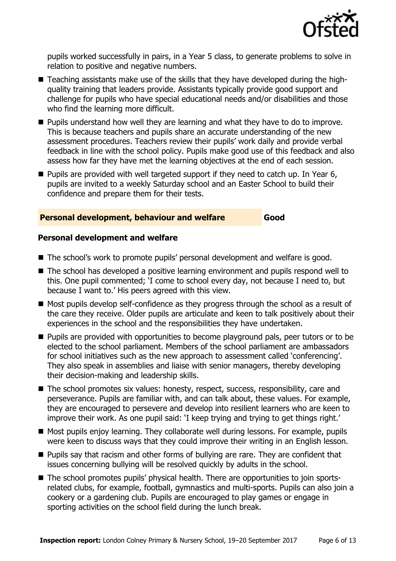

pupils worked successfully in pairs, in a Year 5 class, to generate problems to solve in relation to positive and negative numbers.

- Teaching assistants make use of the skills that they have developed during the highquality training that leaders provide. Assistants typically provide good support and challenge for pupils who have special educational needs and/or disabilities and those who find the learning more difficult.
- **Pupils understand how well they are learning and what they have to do to improve.** This is because teachers and pupils share an accurate understanding of the new assessment procedures. Teachers review their pupils' work daily and provide verbal feedback in line with the school policy. Pupils make good use of this feedback and also assess how far they have met the learning objectives at the end of each session.
- $\blacksquare$  Pupils are provided with well targeted support if they need to catch up. In Year 6, pupils are invited to a weekly Saturday school and an Easter School to build their confidence and prepare them for their tests.

#### **Personal development, behaviour and welfare Good**

#### **Personal development and welfare**

- The school's work to promote pupils' personal development and welfare is good.
- The school has developed a positive learning environment and pupils respond well to this. One pupil commented; 'I come to school every day, not because I need to, but because I want to.' His peers agreed with this view.
- Most pupils develop self-confidence as they progress through the school as a result of the care they receive. Older pupils are articulate and keen to talk positively about their experiences in the school and the responsibilities they have undertaken.
- **Pupils are provided with opportunities to become playground pals, peer tutors or to be** elected to the school parliament. Members of the school parliament are ambassadors for school initiatives such as the new approach to assessment called 'conferencing'. They also speak in assemblies and liaise with senior managers, thereby developing their decision-making and leadership skills.
- The school promotes six values: honesty, respect, success, responsibility, care and perseverance. Pupils are familiar with, and can talk about, these values. For example, they are encouraged to persevere and develop into resilient learners who are keen to improve their work. As one pupil said: 'I keep trying and trying to get things right.'
- Most pupils enjoy learning. They collaborate well during lessons. For example, pupils were keen to discuss ways that they could improve their writing in an English lesson.
- **Pupils say that racism and other forms of bullying are rare. They are confident that** issues concerning bullying will be resolved quickly by adults in the school.
- The school promotes pupils' physical health. There are opportunities to join sportsrelated clubs, for example, football, gymnastics and multi-sports. Pupils can also join a cookery or a gardening club. Pupils are encouraged to play games or engage in sporting activities on the school field during the lunch break.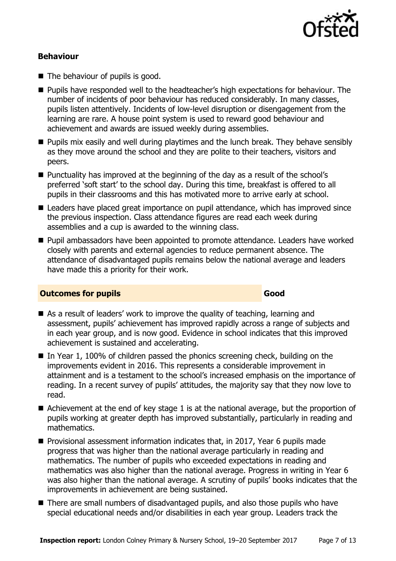

#### **Behaviour**

- The behaviour of pupils is good.
- **Pupils have responded well to the headteacher's high expectations for behaviour. The** number of incidents of poor behaviour has reduced considerably. In many classes, pupils listen attentively. Incidents of low-level disruption or disengagement from the learning are rare. A house point system is used to reward good behaviour and achievement and awards are issued weekly during assemblies.
- **Pupils mix easily and well during playtimes and the lunch break. They behave sensibly** as they move around the school and they are polite to their teachers, visitors and peers.
- Punctuality has improved at the beginning of the day as a result of the school's preferred 'soft start' to the school day. During this time, breakfast is offered to all pupils in their classrooms and this has motivated more to arrive early at school.
- Leaders have placed great importance on pupil attendance, which has improved since the previous inspection. Class attendance figures are read each week during assemblies and a cup is awarded to the winning class.
- **Pupil ambassadors have been appointed to promote attendance. Leaders have worked** closely with parents and external agencies to reduce permanent absence. The attendance of disadvantaged pupils remains below the national average and leaders have made this a priority for their work.

#### **Outcomes for pupils Good**

- As a result of leaders' work to improve the quality of teaching, learning and assessment, pupils' achievement has improved rapidly across a range of subjects and in each year group, and is now good. Evidence in school indicates that this improved achievement is sustained and accelerating.
- In Year 1, 100% of children passed the phonics screening check, building on the improvements evident in 2016. This represents a considerable improvement in attainment and is a testament to the school's increased emphasis on the importance of reading. In a recent survey of pupils' attitudes, the majority say that they now love to read.
- Achievement at the end of key stage 1 is at the national average, but the proportion of pupils working at greater depth has improved substantially, particularly in reading and mathematics.
- **Provisional assessment information indicates that, in 2017, Year 6 pupils made** progress that was higher than the national average particularly in reading and mathematics. The number of pupils who exceeded expectations in reading and mathematics was also higher than the national average. Progress in writing in Year 6 was also higher than the national average. A scrutiny of pupils' books indicates that the improvements in achievement are being sustained.
- There are small numbers of disadvantaged pupils, and also those pupils who have special educational needs and/or disabilities in each year group. Leaders track the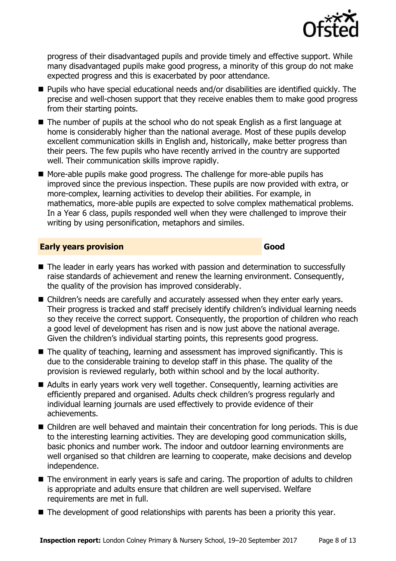

progress of their disadvantaged pupils and provide timely and effective support. While many disadvantaged pupils make good progress, a minority of this group do not make expected progress and this is exacerbated by poor attendance.

- Pupils who have special educational needs and/or disabilities are identified quickly. The precise and well-chosen support that they receive enables them to make good progress from their starting points.
- The number of pupils at the school who do not speak English as a first language at home is considerably higher than the national average. Most of these pupils develop excellent communication skills in English and, historically, make better progress than their peers. The few pupils who have recently arrived in the country are supported well. Their communication skills improve rapidly.
- More-able pupils make good progress. The challenge for more-able pupils has improved since the previous inspection. These pupils are now provided with extra, or more-complex, learning activities to develop their abilities. For example, in mathematics, more-able pupils are expected to solve complex mathematical problems. In a Year 6 class, pupils responded well when they were challenged to improve their writing by using personification, metaphors and similes.

#### **Early years provision Good Good**

- The leader in early vears has worked with passion and determination to successfully raise standards of achievement and renew the learning environment. Consequently, the quality of the provision has improved considerably.
- Children's needs are carefully and accurately assessed when they enter early years. Their progress is tracked and staff precisely identify children's individual learning needs so they receive the correct support. Consequently, the proportion of children who reach a good level of development has risen and is now just above the national average. Given the children's individual starting points, this represents good progress.
- The quality of teaching, learning and assessment has improved significantly. This is due to the considerable training to develop staff in this phase. The quality of the provision is reviewed regularly, both within school and by the local authority.
- Adults in early years work very well together. Consequently, learning activities are efficiently prepared and organised. Adults check children's progress regularly and individual learning journals are used effectively to provide evidence of their achievements.
- Children are well behaved and maintain their concentration for long periods. This is due to the interesting learning activities. They are developing good communication skills, basic phonics and number work. The indoor and outdoor learning environments are well organised so that children are learning to cooperate, make decisions and develop independence.
- The environment in early years is safe and caring. The proportion of adults to children is appropriate and adults ensure that children are well supervised. Welfare requirements are met in full.
- The development of good relationships with parents has been a priority this year.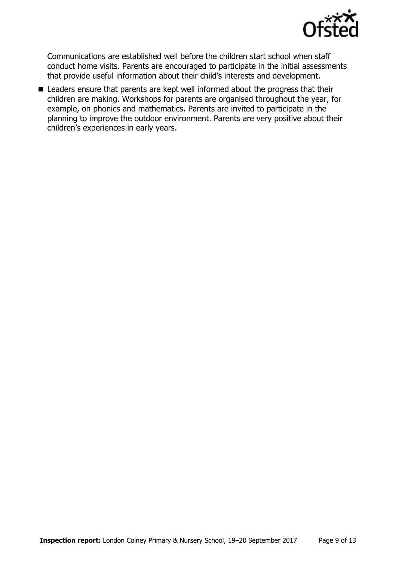

Communications are established well before the children start school when staff conduct home visits. Parents are encouraged to participate in the initial assessments that provide useful information about their child's interests and development.

■ Leaders ensure that parents are kept well informed about the progress that their children are making. Workshops for parents are organised throughout the year, for example, on phonics and mathematics. Parents are invited to participate in the planning to improve the outdoor environment. Parents are very positive about their children's experiences in early years.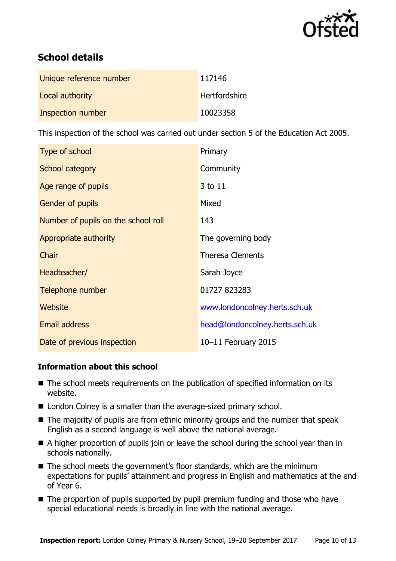

# **School details**

| Unique reference number | 117146               |
|-------------------------|----------------------|
| Local authority         | <b>Hertfordshire</b> |
| Inspection number       | 10023358             |

This inspection of the school was carried out under section 5 of the Education Act 2005.

| Type of school                      | Primary                        |
|-------------------------------------|--------------------------------|
| School category                     | Community                      |
| Age range of pupils                 | 3 to 11                        |
| Gender of pupils                    | Mixed                          |
| Number of pupils on the school roll | 143                            |
| Appropriate authority               | The governing body             |
| Chair                               | <b>Theresa Clements</b>        |
| Headteacher/                        | Sarah Joyce                    |
| Telephone number                    | 01727 823283                   |
| Website                             | www.londoncolney.herts.sch.uk  |
| <b>Email address</b>                | head@londoncolney.herts.sch.uk |
| Date of previous inspection         | 10-11 February 2015            |

#### **Information about this school**

- The school meets requirements on the publication of specified information on its website.
- London Colney is a smaller than the average-sized primary school.
- $\blacksquare$  The majority of pupils are from ethnic minority groups and the number that speak English as a second language is well above the national average.
- A higher proportion of pupils join or leave the school during the school year than in schools nationally.
- The school meets the government's floor standards, which are the minimum expectations for pupils' attainment and progress in English and mathematics at the end of Year 6.
- The proportion of pupils supported by pupil premium funding and those who have special educational needs is broadly in line with the national average.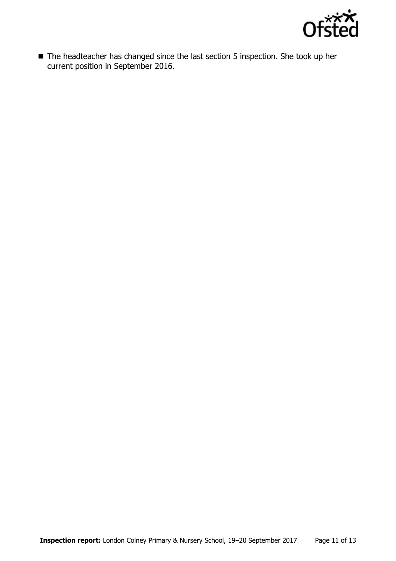

■ The headteacher has changed since the last section 5 inspection. She took up her current position in September 2016.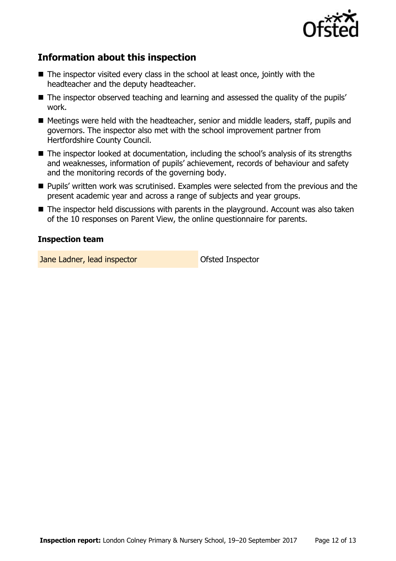

# **Information about this inspection**

- The inspector visited every class in the school at least once, jointly with the headteacher and the deputy headteacher.
- The inspector observed teaching and learning and assessed the quality of the pupils' work.
- Meetings were held with the headteacher, senior and middle leaders, staff, pupils and governors. The inspector also met with the school improvement partner from Hertfordshire County Council.
- The inspector looked at documentation, including the school's analysis of its strengths and weaknesses, information of pupils' achievement, records of behaviour and safety and the monitoring records of the governing body.
- **Pupils'** written work was scrutinised. Examples were selected from the previous and the present academic year and across a range of subjects and year groups.
- The inspector held discussions with parents in the playground. Account was also taken of the 10 responses on Parent View, the online questionnaire for parents.

#### **Inspection team**

Jane Ladner, lead inspector and official Ofsted Inspector